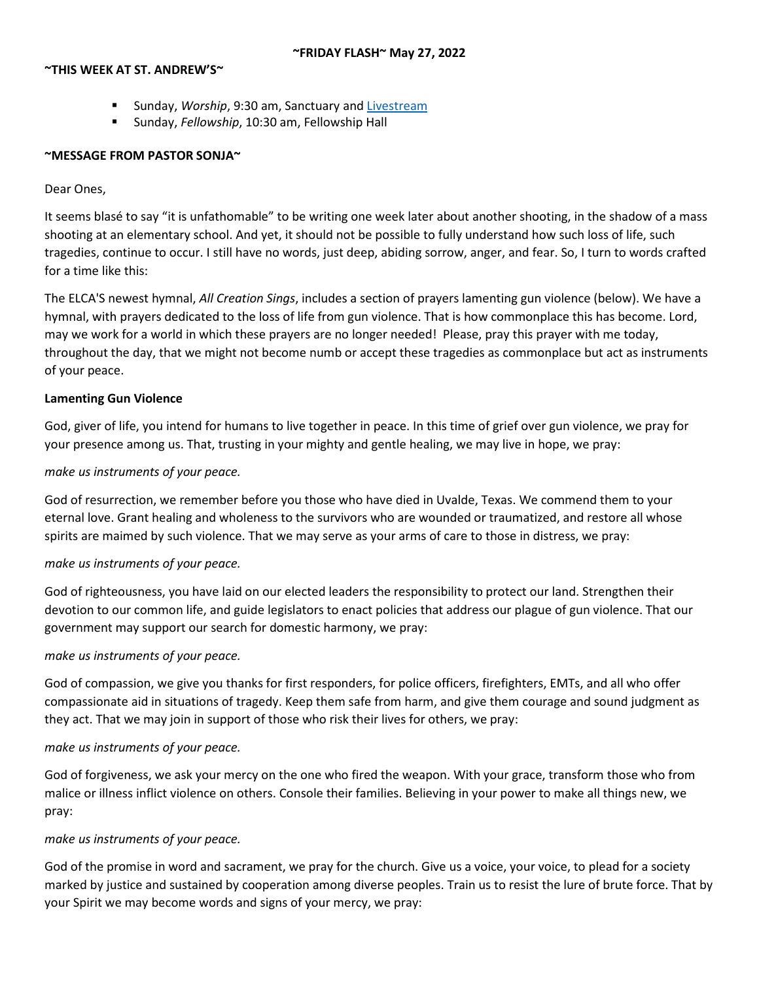## **~THIS WEEK AT ST. ANDREW'S~**

- Sunday, *Worship*, 9:30 am, Sanctuary and [Livestream](https://youtu.be/jwN33YfwPXY)
- Sunday, *Fellowship*, 10:30 am, Fellowship Hall

## **~MESSAGE FROM PASTOR SONJA~**

## Dear Ones,

It seems blasé to say "it is unfathomable" to be writing one week later about another shooting, in the shadow of a mass shooting at an elementary school. And yet, it should not be possible to fully understand how such loss of life, such tragedies, continue to occur. I still have no words, just deep, abiding sorrow, anger, and fear. So, I turn to words crafted for a time like this:

The ELCA'S newest hymnal, *All Creation Sings*, includes a section of prayers lamenting gun violence (below). We have a hymnal, with prayers dedicated to the loss of life from gun violence. That is how commonplace this has become. Lord, may we work for a world in which these prayers are no longer needed! Please, pray this prayer with me today, throughout the day, that we might not become numb or accept these tragedies as commonplace but act as instruments of your peace.

## **Lamenting Gun Violence**

God, giver of life, you intend for humans to live together in peace. In this time of grief over gun violence, we pray for your presence among us. That, trusting in your mighty and gentle healing, we may live in hope, we pray:

## *make us instruments of your peace.*

God of resurrection, we remember before you those who have died in Uvalde, Texas. We commend them to your eternal love. Grant healing and wholeness to the survivors who are wounded or traumatized, and restore all whose spirits are maimed by such violence. That we may serve as your arms of care to those in distress, we pray:

## *make us instruments of your peace.*

God of righteousness, you have laid on our elected leaders the responsibility to protect our land. Strengthen their devotion to our common life, and guide legislators to enact policies that address our plague of gun violence. That our government may support our search for domestic harmony, we pray:

## *make us instruments of your peace.*

God of compassion, we give you thanks for first responders, for police officers, firefighters, EMTs, and all who offer compassionate aid in situations of tragedy. Keep them safe from harm, and give them courage and sound judgment as they act. That we may join in support of those who risk their lives for others, we pray:

## *make us instruments of your peace.*

God of forgiveness, we ask your mercy on the one who fired the weapon. With your grace, transform those who from malice or illness inflict violence on others. Console their families. Believing in your power to make all things new, we pray:

## *make us instruments of your peace.*

God of the promise in word and sacrament, we pray for the church. Give us a voice, your voice, to plead for a society marked by justice and sustained by cooperation among diverse peoples. Train us to resist the lure of brute force. That by your Spirit we may become words and signs of your mercy, we pray: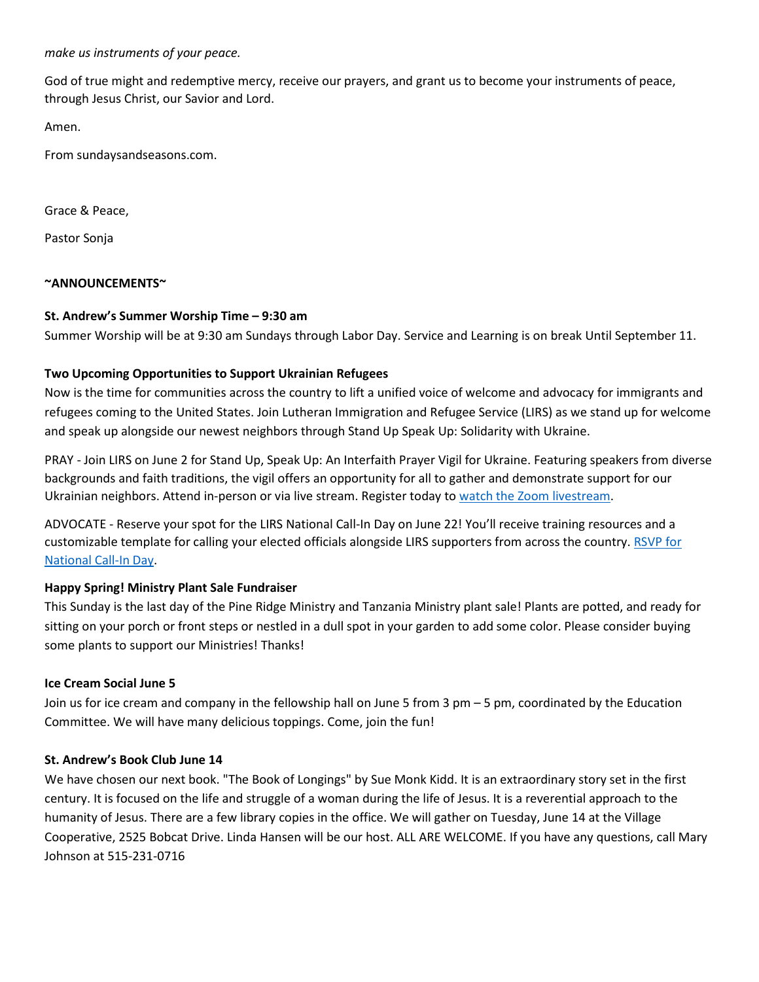## *make us instruments of your peace.*

God of true might and redemptive mercy, receive our prayers, and grant us to become your instruments of peace, through Jesus Christ, our Savior and Lord.

Amen.

From sundaysandseasons.com.

Grace & Peace,

Pastor Sonja

#### **~ANNOUNCEMENTS~**

#### **St. Andrew's Summer Worship Time – 9:30 am**

Summer Worship will be at 9:30 am Sundays through Labor Day. Service and Learning is on break Until September 11.

## **Two Upcoming Opportunities to Support Ukrainian Refugees**

Now is the time for communities across the country to lift a unified voice of welcome and advocacy for immigrants and refugees coming to the United States. Join Lutheran Immigration and Refugee Service (LIRS) as we stand up for welcome and speak up alongside our newest neighbors through Stand Up Speak Up: Solidarity with Ukraine. 

PRAY - Join LIRS on June 2 for Stand Up, Speak Up: An Interfaith Prayer Vigil for Ukraine. Featuring speakers from diverse backgrounds and faith traditions, the vigil offers an opportunity for all to gather and demonstrate support for our Ukrainian neighbors. Attend in-person or via live stream. Register today t[o watch the Zoom livestream.](https://lirs.us14.list-manage.com/track/click?u=1ba26e3c84448d9ea4814c790&id=763fa94bcc&e=5f039eefc1)

ADVOCATE - Reserve your spot for the LIRS National Call-In Day on June 22! You'll receive training resources and a customizable template for calling your elected officials alongside LIRS supporters from across the country. [RSVP for](https://lirs.us14.list-manage.com/track/click?u=1ba26e3c84448d9ea4814c790&id=4b84418df8&e=5f039eefc1)  [National Call-In Day.](https://lirs.us14.list-manage.com/track/click?u=1ba26e3c84448d9ea4814c790&id=4b84418df8&e=5f039eefc1)

## **Happy Spring! Ministry Plant Sale Fundraiser**

This Sunday is the last day of the Pine Ridge Ministry and Tanzania Ministry plant sale! Plants are potted, and ready for sitting on your porch or front steps or nestled in a dull spot in your garden to add some color. Please consider buying some plants to support our Ministries! Thanks!

#### **Ice Cream Social June 5**

Join us for ice cream and company in the fellowship hall on June 5 from 3 pm – 5 pm, coordinated by the Education Committee. We will have many delicious toppings. Come, join the fun!

#### **St. Andrew's Book Club June 14**

We have chosen our next book. "The Book of Longings" by Sue Monk Kidd. It is an extraordinary story set in the first century. It is focused on the life and struggle of a woman during the life of Jesus. It is a reverential approach to the humanity of Jesus. There are a few library copies in the office. We will gather on Tuesday, June 14 at the Village Cooperative, 2525 Bobcat Drive. Linda Hansen will be our host. ALL ARE WELCOME. If you have any questions, call Mary Johnson at 515-231-0716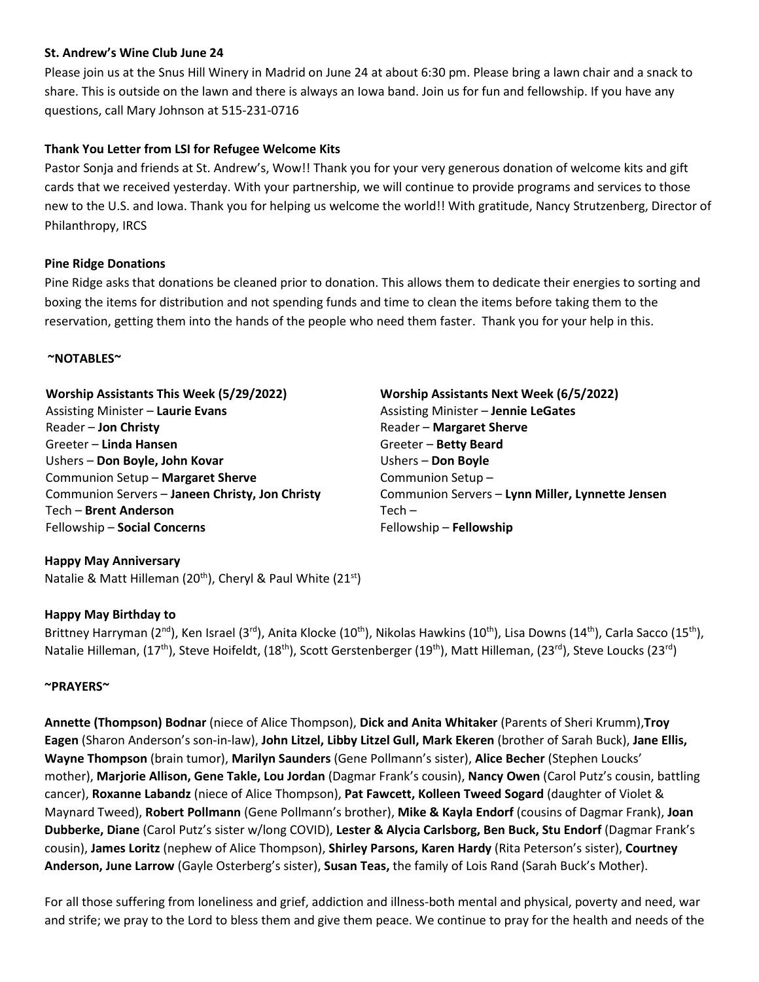## **St. Andrew's Wine Club June 24**

Please join us at the Snus Hill Winery in Madrid on June 24 at about 6:30 pm. Please bring a lawn chair and a snack to share. This is outside on the lawn and there is always an Iowa band. Join us for fun and fellowship. If you have any questions, call Mary Johnson at 515-231-0716

# **Thank You Letter from LSI for Refugee Welcome Kits**

Pastor Sonja and friends at St. Andrew's, Wow!! Thank you for your very generous donation of welcome kits and gift cards that we received yesterday. With your partnership, we will continue to provide programs and services to those new to the U.S. and Iowa. Thank you for helping us welcome the world!! With gratitude, Nancy Strutzenberg, Director of Philanthropy, IRCS

## **Pine Ridge Donations**

Pine Ridge asks that donations be cleaned prior to donation. This allows them to dedicate their energies to sorting and boxing the items for distribution and not spending funds and time to clean the items before taking them to the reservation, getting them into the hands of the people who need them faster. Thank you for your help in this.

## **~NOTABLES~**

**Worship Assistants This Week (5/29/2022)** Assisting Minister – **Laurie Evans** Reader – **Jon Christy** Greeter – **Linda Hansen** Ushers – **Don Boyle, John Kovar** Communion Setup – **Margaret Sherve** Communion Servers – **Janeen Christy, Jon Christy** Tech – **Brent Anderson** Fellowship – **Social Concerns**

**Worship Assistants Next Week (6/5/2022)** Assisting Minister – **Jennie LeGates** Reader – **Margaret Sherve** Greeter – **Betty Beard** Ushers – **Don Boyle** Communion Setup – Communion Servers – **Lynn Miller, Lynnette Jensen**  $Tech -$ Fellowship – **Fellowship**

# **Happy May Anniversary** Natalie & Matt Hilleman (20<sup>th</sup>), Cheryl & Paul White (21<sup>st</sup>)

## **Happy May Birthday to**

Brittney Harryman (2<sup>nd</sup>), Ken Israel (3<sup>rd</sup>), Anita Klocke (10<sup>th</sup>), Nikolas Hawkins (10<sup>th</sup>), Lisa Downs (14<sup>th</sup>), Carla Sacco (15<sup>th</sup>), Natalie Hilleman, (17<sup>th</sup>), Steve Hoifeldt, (18<sup>th</sup>), Scott Gerstenberger (19<sup>th</sup>), Matt Hilleman, (23<sup>rd</sup>), Steve Loucks (23<sup>rd</sup>)

## **~PRAYERS~**

**Annette (Thompson) Bodnar** (niece of Alice Thompson), **Dick and Anita Whitaker** (Parents of Sheri Krumm),**Troy Eagen** (Sharon Anderson's son-in-law), **John Litzel, Libby Litzel Gull, Mark Ekeren** (brother of Sarah Buck), **Jane Ellis, Wayne Thompson** (brain tumor), **Marilyn Saunders** (Gene Pollmann's sister), **Alice Becher** (Stephen Loucks' mother), **Marjorie Allison, Gene Takle, Lou Jordan** (Dagmar Frank's cousin), **Nancy Owen** (Carol Putz's cousin, battling cancer), **Roxanne Labandz** (niece of Alice Thompson), **Pat Fawcett, Kolleen Tweed Sogard** (daughter of Violet & Maynard Tweed), **Robert Pollmann** (Gene Pollmann's brother), **Mike & Kayla Endorf** (cousins of Dagmar Frank), **Joan Dubberke, Diane** (Carol Putz's sister w/long COVID), **Lester & Alycia Carlsborg, Ben Buck, Stu Endorf** (Dagmar Frank's cousin), **James Loritz** (nephew of Alice Thompson), **Shirley Parsons, Karen Hardy** (Rita Peterson's sister), **Courtney Anderson, June Larrow** (Gayle Osterberg's sister), **Susan Teas,** the family of Lois Rand (Sarah Buck's Mother).

For all those suffering from loneliness and grief, addiction and illness-both mental and physical, poverty and need, war and strife; we pray to the Lord to bless them and give them peace. We continue to pray for the health and needs of the